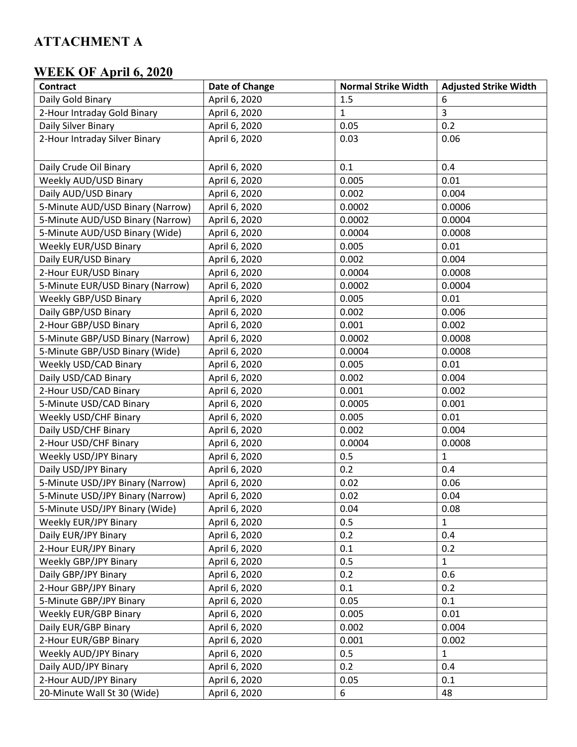## **ATTACHMENT A**

## **WEEK OF April 6, 2020**

| <b>Contract</b>                  | Date of Change | <b>Normal Strike Width</b> | <b>Adjusted Strike Width</b> |
|----------------------------------|----------------|----------------------------|------------------------------|
| Daily Gold Binary                | April 6, 2020  | 1.5                        | 6                            |
| 2-Hour Intraday Gold Binary      | April 6, 2020  | $\mathbf{1}$               | 3                            |
| Daily Silver Binary              | April 6, 2020  | 0.05                       | 0.2                          |
| 2-Hour Intraday Silver Binary    | April 6, 2020  | 0.03                       | 0.06                         |
| Daily Crude Oil Binary           | April 6, 2020  | 0.1                        | 0.4                          |
| Weekly AUD/USD Binary            | April 6, 2020  | 0.005                      | 0.01                         |
| Daily AUD/USD Binary             | April 6, 2020  | 0.002                      | 0.004                        |
| 5-Minute AUD/USD Binary (Narrow) | April 6, 2020  | 0.0002                     | 0.0006                       |
| 5-Minute AUD/USD Binary (Narrow) | April 6, 2020  | 0.0002                     | 0.0004                       |
| 5-Minute AUD/USD Binary (Wide)   | April 6, 2020  | 0.0004                     | 0.0008                       |
| Weekly EUR/USD Binary            | April 6, 2020  | 0.005                      | 0.01                         |
| Daily EUR/USD Binary             | April 6, 2020  | 0.002                      | 0.004                        |
| 2-Hour EUR/USD Binary            | April 6, 2020  | 0.0004                     | 0.0008                       |
| 5-Minute EUR/USD Binary (Narrow) | April 6, 2020  | 0.0002                     | 0.0004                       |
| Weekly GBP/USD Binary            | April 6, 2020  | 0.005                      | 0.01                         |
| Daily GBP/USD Binary             | April 6, 2020  | 0.002                      | 0.006                        |
| 2-Hour GBP/USD Binary            | April 6, 2020  | 0.001                      | 0.002                        |
| 5-Minute GBP/USD Binary (Narrow) | April 6, 2020  | 0.0002                     | 0.0008                       |
| 5-Minute GBP/USD Binary (Wide)   | April 6, 2020  | 0.0004                     | 0.0008                       |
| Weekly USD/CAD Binary            | April 6, 2020  | 0.005                      | 0.01                         |
| Daily USD/CAD Binary             | April 6, 2020  | 0.002                      | 0.004                        |
| 2-Hour USD/CAD Binary            | April 6, 2020  | 0.001                      | 0.002                        |
| 5-Minute USD/CAD Binary          | April 6, 2020  | 0.0005                     | 0.001                        |
| Weekly USD/CHF Binary            | April 6, 2020  | 0.005                      | 0.01                         |
| Daily USD/CHF Binary             | April 6, 2020  | 0.002                      | 0.004                        |
| 2-Hour USD/CHF Binary            | April 6, 2020  | 0.0004                     | 0.0008                       |
| Weekly USD/JPY Binary            | April 6, 2020  | 0.5                        | $\mathbf{1}$                 |
| Daily USD/JPY Binary             | April 6, 2020  | 0.2                        | 0.4                          |
| 5-Minute USD/JPY Binary (Narrow) | April 6, 2020  | 0.02                       | 0.06                         |
| 5-Minute USD/JPY Binary (Narrow) | April 6, 2020  | 0.02                       | 0.04                         |
| 5-Minute USD/JPY Binary (Wide)   | April 6, 2020  | 0.04                       | 0.08                         |
| <b>Weekly EUR/JPY Binary</b>     | April 6, 2020  | 0.5                        | $\mathbf{1}$                 |
| Daily EUR/JPY Binary             | April 6, 2020  | 0.2                        | 0.4                          |
| 2-Hour EUR/JPY Binary            | April 6, 2020  | 0.1                        | 0.2                          |
| Weekly GBP/JPY Binary            | April 6, 2020  | 0.5                        | 1                            |
| Daily GBP/JPY Binary             | April 6, 2020  | 0.2                        | 0.6                          |
| 2-Hour GBP/JPY Binary            | April 6, 2020  | 0.1                        | 0.2                          |
| 5-Minute GBP/JPY Binary          | April 6, 2020  | 0.05                       | 0.1                          |
| <b>Weekly EUR/GBP Binary</b>     | April 6, 2020  | 0.005                      | 0.01                         |
| Daily EUR/GBP Binary             | April 6, 2020  | 0.002                      | 0.004                        |
| 2-Hour EUR/GBP Binary            | April 6, 2020  | 0.001                      | 0.002                        |
| Weekly AUD/JPY Binary            | April 6, 2020  | 0.5                        | $\mathbf{1}$                 |
| Daily AUD/JPY Binary             | April 6, 2020  | 0.2                        | 0.4                          |
| 2-Hour AUD/JPY Binary            | April 6, 2020  | 0.05                       | 0.1                          |
| 20-Minute Wall St 30 (Wide)      | April 6, 2020  | 6                          | 48                           |